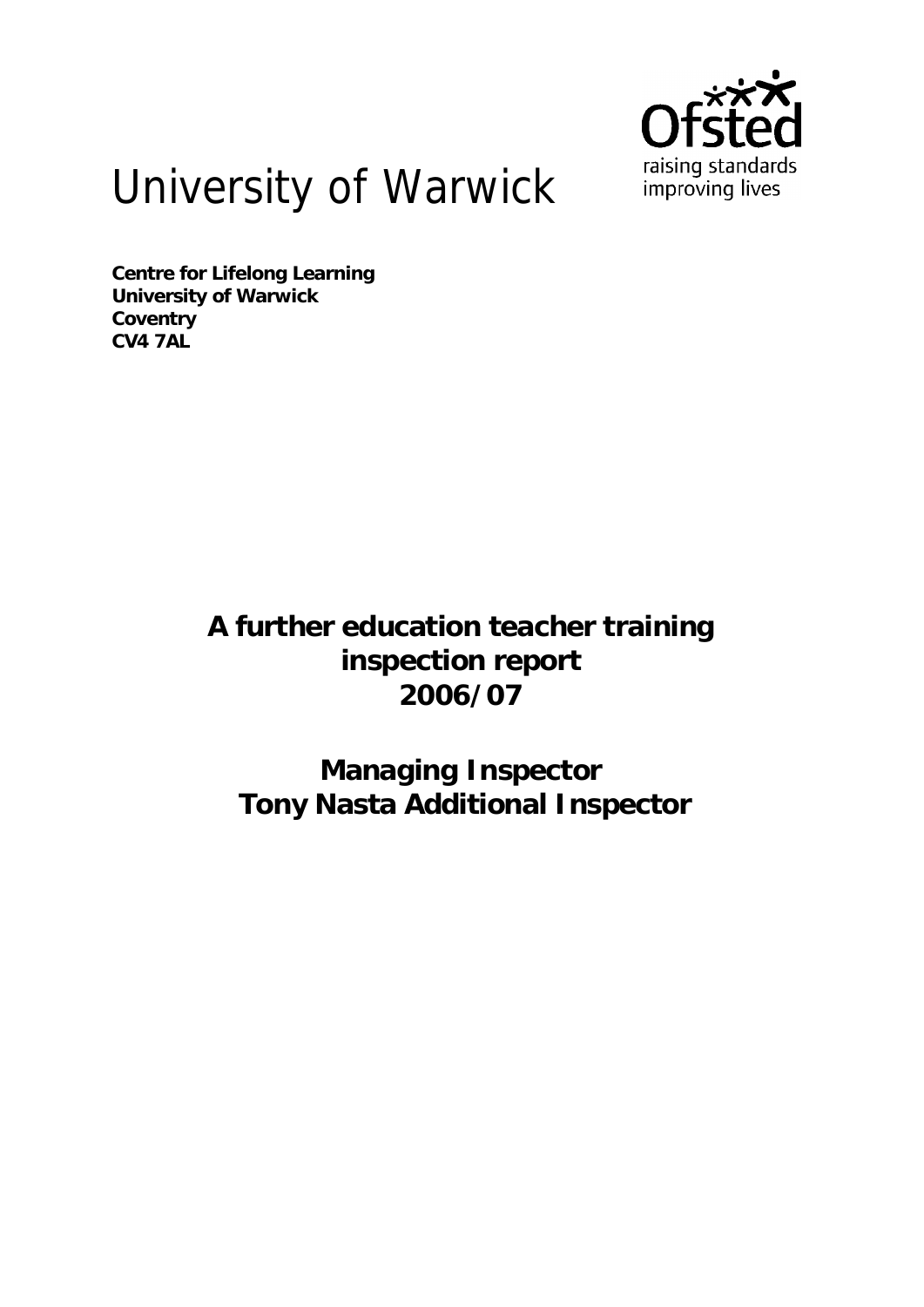

# University of Warwick

**Centre for Lifelong Learning University of Warwick Coventry CV4 7AL** 

> **A further education teacher training inspection report 2006/07**

**Managing Inspector Tony Nasta Additional Inspector**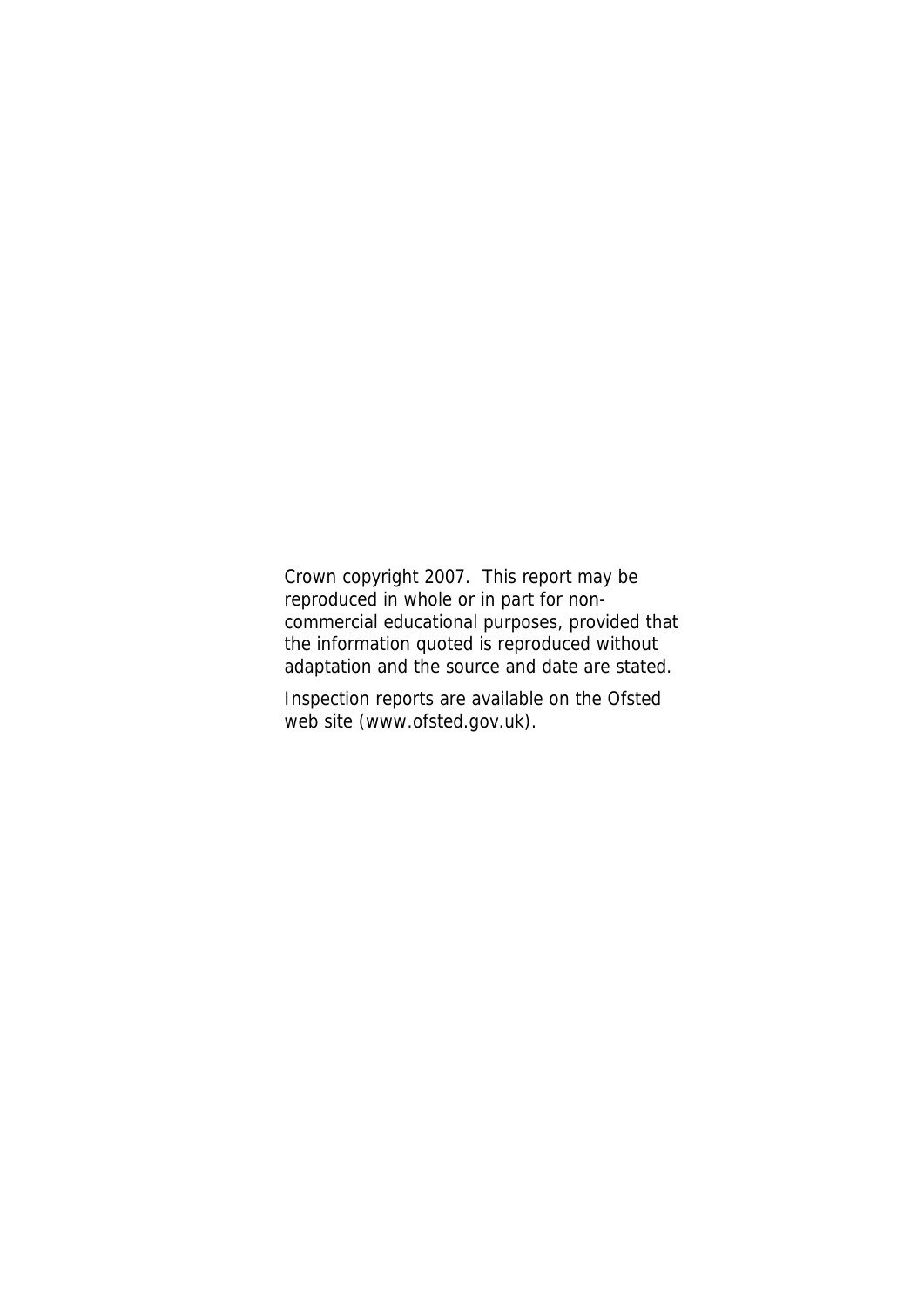Crown copyright 2007. This report may be reproduced in whole or in part for noncommercial educational purposes, provided that the information quoted is reproduced without adaptation and the source and date are stated.

Inspection reports are available on the Ofsted web site (www.ofsted.gov.uk).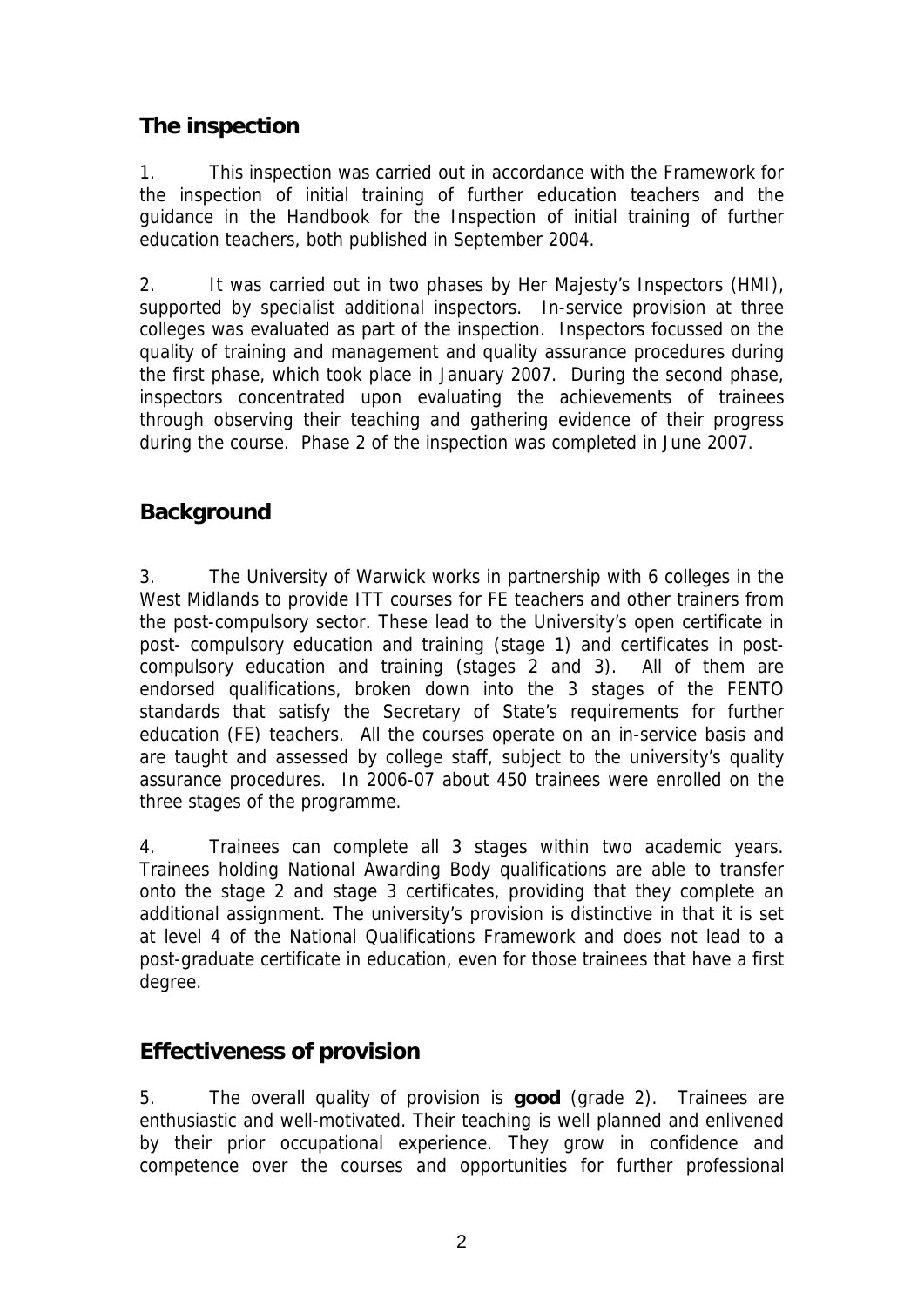# **The inspection**

1. This inspection was carried out in accordance with the Framework for the inspection of initial training of further education teachers and the guidance in the Handbook for the Inspection of initial training of further education teachers, both published in September 2004.

2. It was carried out in two phases by Her Majesty's Inspectors (HMI), supported by specialist additional inspectors. In-service provision at three colleges was evaluated as part of the inspection. Inspectors focussed on the quality of training and management and quality assurance procedures during the first phase, which took place in January 2007. During the second phase, inspectors concentrated upon evaluating the achievements of trainees through observing their teaching and gathering evidence of their progress during the course. Phase 2 of the inspection was completed in June 2007.

# **Background**

3. The University of Warwick works in partnership with 6 colleges in the West Midlands to provide ITT courses for FE teachers and other trainers from the post-compulsory sector. These lead to the University's open certificate in post- compulsory education and training (stage 1) and certificates in postcompulsory education and training (stages 2 and 3). All of them are endorsed qualifications, broken down into the 3 stages of the FENTO standards that satisfy the Secretary of State's requirements for further education (FE) teachers. All the courses operate on an in-service basis and are taught and assessed by college staff, subject to the university's quality assurance procedures. In 2006-07 about 450 trainees were enrolled on the three stages of the programme.

4. Trainees can complete all 3 stages within two academic years. Trainees holding National Awarding Body qualifications are able to transfer onto the stage 2 and stage 3 certificates, providing that they complete an additional assignment. The university's provision is distinctive in that it is set at level 4 of the National Qualifications Framework and does not lead to a post-graduate certificate in education, even for those trainees that have a first degree.

# **Effectiveness of provision**

5. The overall quality of provision is **good** (grade 2).Trainees are enthusiastic and well-motivated. Their teaching is well planned and enlivened by their prior occupational experience. They grow in confidence and competence over the courses and opportunities for further professional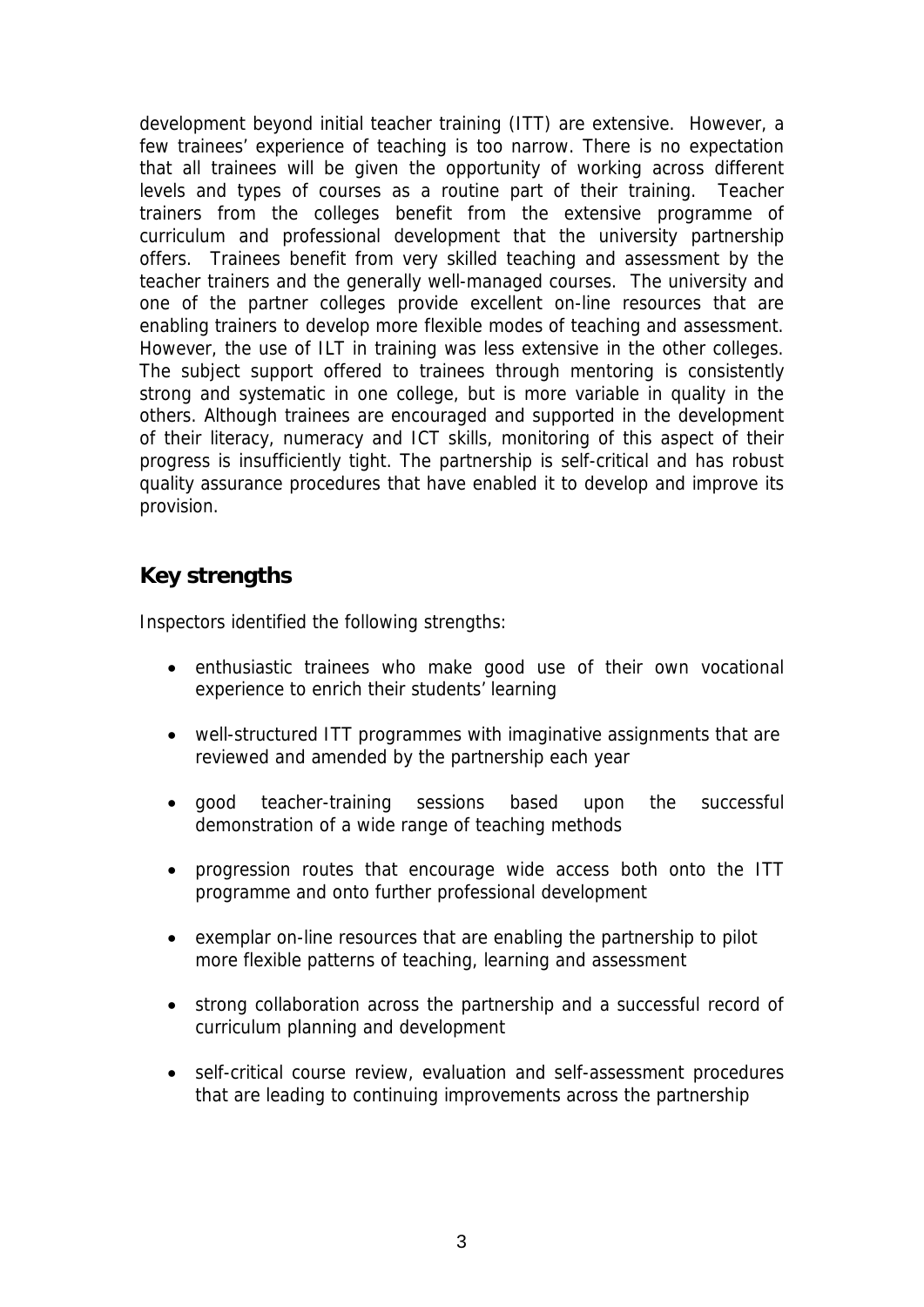development beyond initial teacher training (ITT) are extensive. However, a few trainees' experience of teaching is too narrow. There is no expectation that all trainees will be given the opportunity of working across different levels and types of courses as a routine part of their training. Teacher trainers from the colleges benefit from the extensive programme of curriculum and professional development that the university partnership offers. Trainees benefit from very skilled teaching and assessment by the teacher trainers and the generally well-managed courses. The university and one of the partner colleges provide excellent on-line resources that are enabling trainers to develop more flexible modes of teaching and assessment. However, the use of ILT in training was less extensive in the other colleges. The subject support offered to trainees through mentoring is consistently strong and systematic in one college, but is more variable in quality in the others. Although trainees are encouraged and supported in the development of their literacy, numeracy and ICT skills, monitoring of this aspect of their progress is insufficiently tight. The partnership is self-critical and has robust quality assurance procedures that have enabled it to develop and improve its provision.

#### **Key strengths**

Inspectors identified the following strengths:

- enthusiastic trainees who make good use of their own vocational experience to enrich their students' learning
- well-structured ITT programmes with imaginative assignments that are reviewed and amended by the partnership each year
- good teacher-training sessions based upon the successful demonstration of a wide range of teaching methods
- progression routes that encourage wide access both onto the ITT programme and onto further professional development
- exemplar on-line resources that are enabling the partnership to pilot more flexible patterns of teaching, learning and assessment
- strong collaboration across the partnership and a successful record of curriculum planning and development
- self-critical course review, evaluation and self-assessment procedures that are leading to continuing improvements across the partnership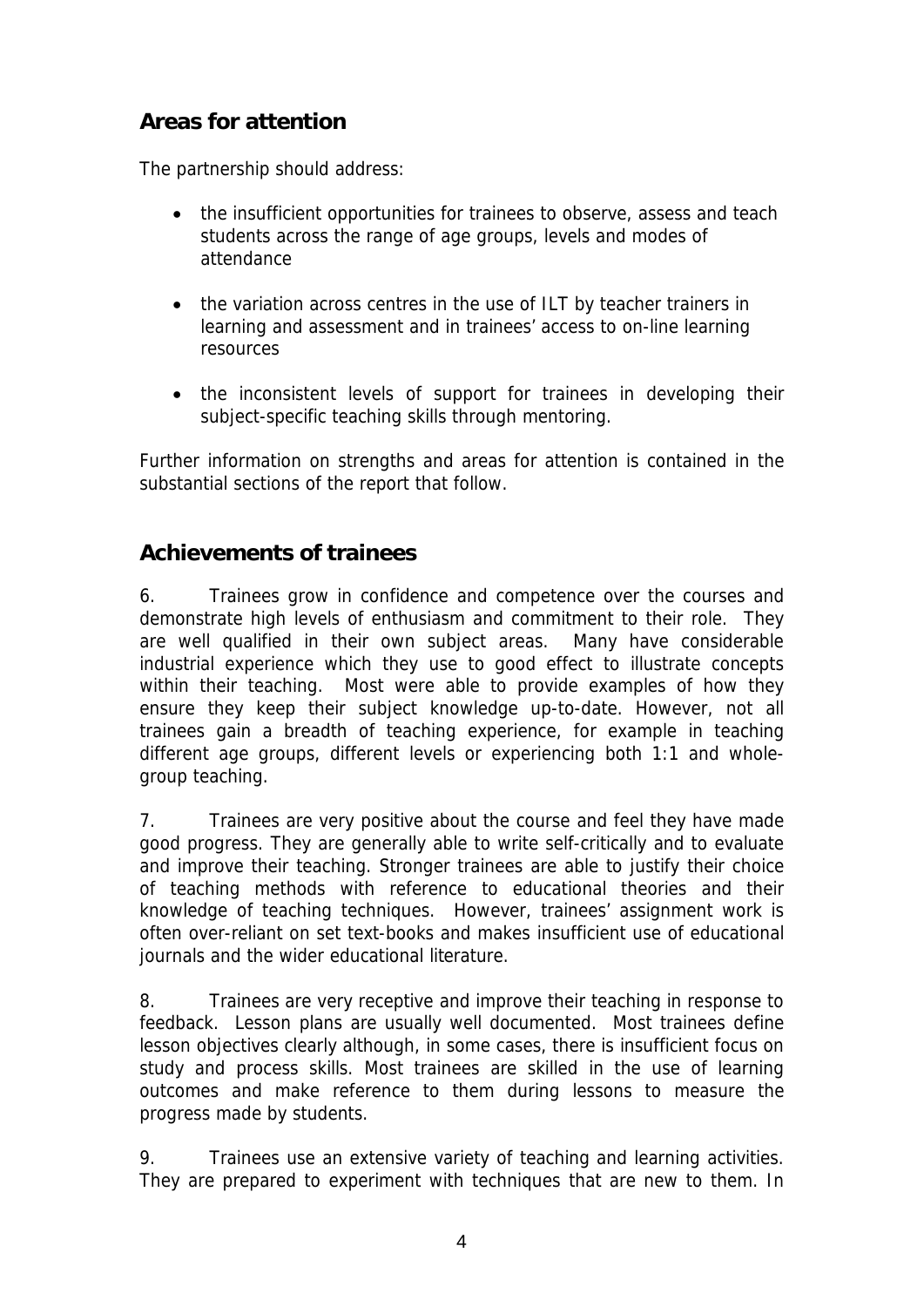# **Areas for attention**

The partnership should address:

- the insufficient opportunities for trainees to observe, assess and teach students across the range of age groups, levels and modes of attendance
- the variation across centres in the use of ILT by teacher trainers in learning and assessment and in trainees' access to on-line learning resources
- the inconsistent levels of support for trainees in developing their subject-specific teaching skills through mentoring.

Further information on strengths and areas for attention is contained in the substantial sections of the report that follow.

#### **Achievements of trainees**

6. Trainees grow in confidence and competence over the courses and demonstrate high levels of enthusiasm and commitment to their role. They are well qualified in their own subject areas. Many have considerable industrial experience which they use to good effect to illustrate concepts within their teaching. Most were able to provide examples of how they ensure they keep their subject knowledge up-to-date. However, not all trainees gain a breadth of teaching experience, for example in teaching different age groups, different levels or experiencing both 1:1 and wholegroup teaching.

7. Trainees are very positive about the course and feel they have made good progress. They are generally able to write self-critically and to evaluate and improve their teaching. Stronger trainees are able to justify their choice of teaching methods with reference to educational theories and their knowledge of teaching techniques. However, trainees' assignment work is often over-reliant on set text-books and makes insufficient use of educational journals and the wider educational literature.

8. Trainees are very receptive and improve their teaching in response to feedback. Lesson plans are usually well documented. Most trainees define lesson objectives clearly although, in some cases, there is insufficient focus on study and process skills. Most trainees are skilled in the use of learning outcomes and make reference to them during lessons to measure the progress made by students.

9. Trainees use an extensive variety of teaching and learning activities. They are prepared to experiment with techniques that are new to them. In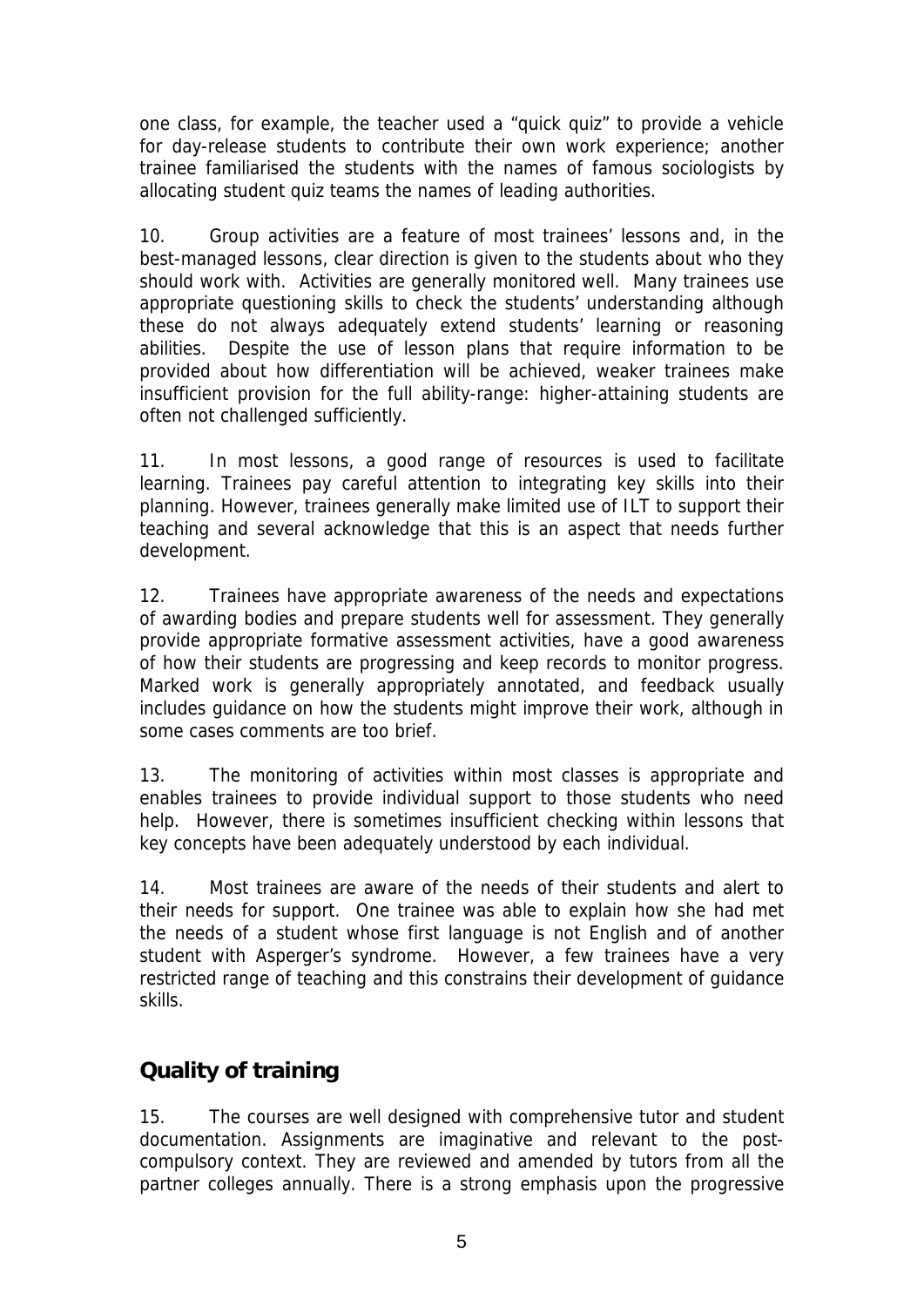one class, for example, the teacher used a "quick quiz" to provide a vehicle for day-release students to contribute their own work experience; another trainee familiarised the students with the names of famous sociologists by allocating student quiz teams the names of leading authorities.

10. Group activities are a feature of most trainees' lessons and, in the best-managed lessons, clear direction is given to the students about who they should work with. Activities are generally monitored well. Many trainees use appropriate questioning skills to check the students' understanding although these do not always adequately extend students' learning or reasoning abilities. Despite the use of lesson plans that require information to be provided about how differentiation will be achieved, weaker trainees make insufficient provision for the full ability-range: higher-attaining students are often not challenged sufficiently.

11. In most lessons, a good range of resources is used to facilitate learning. Trainees pay careful attention to integrating key skills into their planning. However, trainees generally make limited use of ILT to support their teaching and several acknowledge that this is an aspect that needs further development.

12. Trainees have appropriate awareness of the needs and expectations of awarding bodies and prepare students well for assessment. They generally provide appropriate formative assessment activities, have a good awareness of how their students are progressing and keep records to monitor progress. Marked work is generally appropriately annotated, and feedback usually includes guidance on how the students might improve their work, although in some cases comments are too brief.

13. The monitoring of activities within most classes is appropriate and enables trainees to provide individual support to those students who need help. However, there is sometimes insufficient checking within lessons that key concepts have been adequately understood by each individual.

14. Most trainees are aware of the needs of their students and alert to their needs for support. One trainee was able to explain how she had met the needs of a student whose first language is not English and of another student with Asperger's syndrome. However, a few trainees have a very restricted range of teaching and this constrains their development of guidance skills.

#### **Quality of training**

15. The courses are well designed with comprehensive tutor and student documentation. Assignments are imaginative and relevant to the postcompulsory context. They are reviewed and amended by tutors from all the partner colleges annually. There is a strong emphasis upon the progressive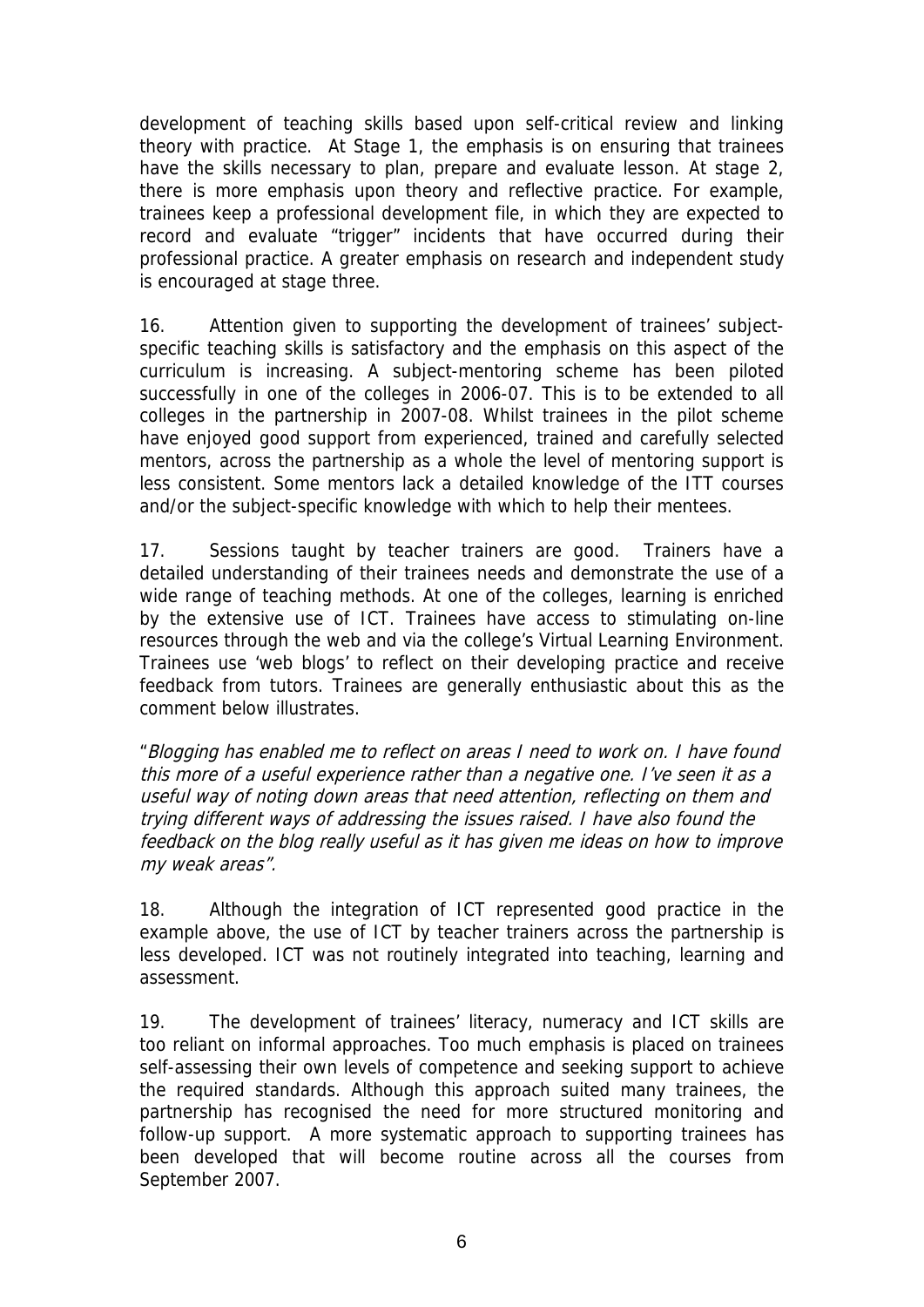development of teaching skills based upon self-critical review and linking theory with practice. At Stage 1, the emphasis is on ensuring that trainees have the skills necessary to plan, prepare and evaluate lesson. At stage 2, there is more emphasis upon theory and reflective practice. For example, trainees keep a professional development file, in which they are expected to record and evaluate "trigger" incidents that have occurred during their professional practice. A greater emphasis on research and independent study is encouraged at stage three.

16. Attention given to supporting the development of trainees' subjectspecific teaching skills is satisfactory and the emphasis on this aspect of the curriculum is increasing. A subject-mentoring scheme has been piloted successfully in one of the colleges in 2006-07. This is to be extended to all colleges in the partnership in 2007-08. Whilst trainees in the pilot scheme have enjoyed good support from experienced, trained and carefully selected mentors, across the partnership as a whole the level of mentoring support is less consistent. Some mentors lack a detailed knowledge of the ITT courses and/or the subject-specific knowledge with which to help their mentees.

17. Sessions taught by teacher trainers are good. Trainers have a detailed understanding of their trainees needs and demonstrate the use of a wide range of teaching methods. At one of the colleges, learning is enriched by the extensive use of ICT. Trainees have access to stimulating on-line resources through the web and via the college's Virtual Learning Environment. Trainees use 'web blogs' to reflect on their developing practice and receive feedback from tutors. Trainees are generally enthusiastic about this as the comment below illustrates.

"Blogging has enabled me to reflect on areas I need to work on. I have found this more of a useful experience rather than a negative one. I've seen it as a useful way of noting down areas that need attention, reflecting on them and trying different ways of addressing the issues raised. I have also found the feedback on the blog really useful as it has given me ideas on how to improve my weak areas".

18. Although the integration of ICT represented good practice in the example above, the use of ICT by teacher trainers across the partnership is less developed. ICT was not routinely integrated into teaching, learning and assessment.

19. The development of trainees' literacy, numeracy and ICT skills are too reliant on informal approaches. Too much emphasis is placed on trainees self-assessing their own levels of competence and seeking support to achieve the required standards. Although this approach suited many trainees, the partnership has recognised the need for more structured monitoring and follow-up support. A more systematic approach to supporting trainees has been developed that will become routine across all the courses from September 2007.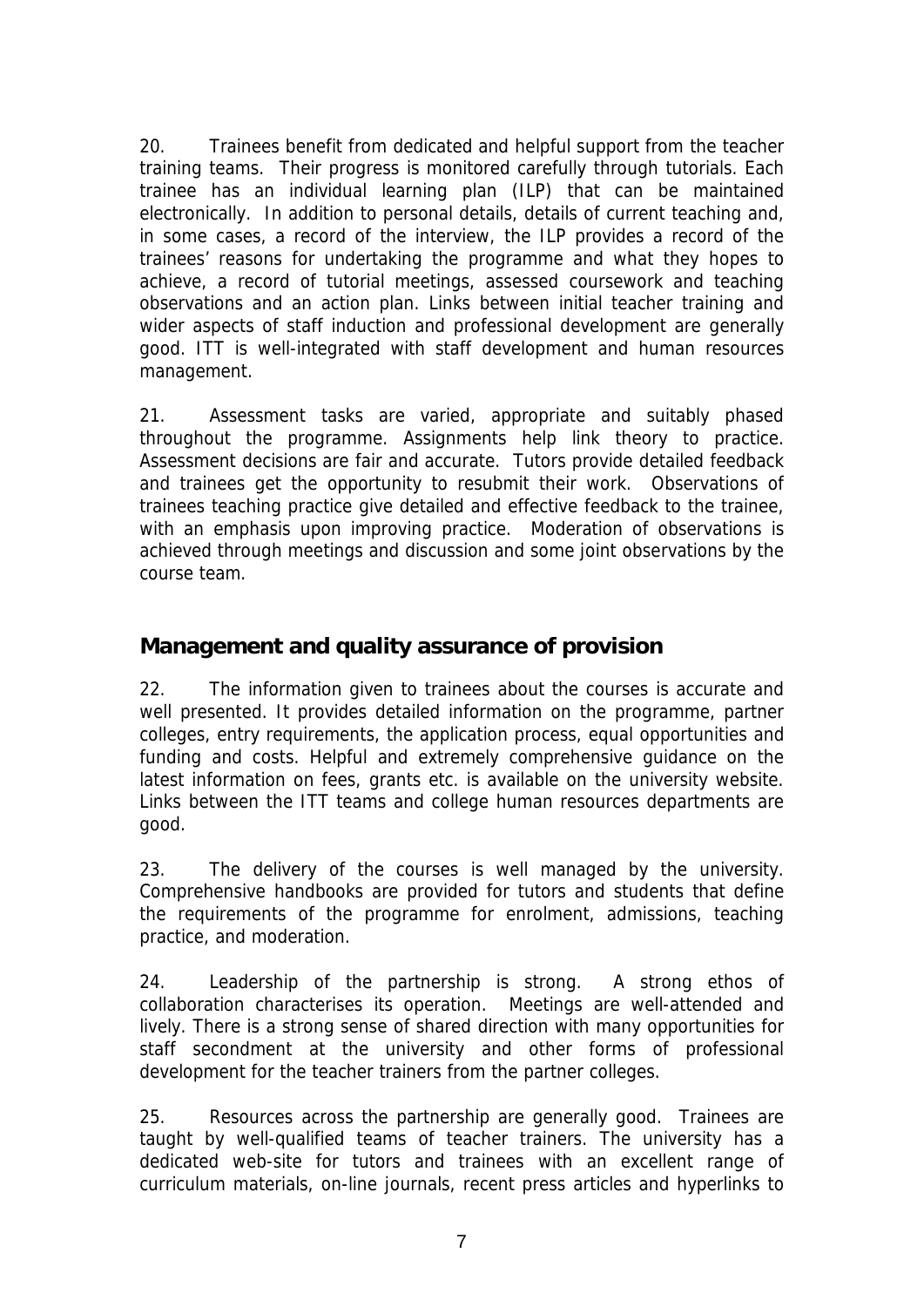20. Trainees benefit from dedicated and helpful support from the teacher training teams. Their progress is monitored carefully through tutorials. Each trainee has an individual learning plan (ILP) that can be maintained electronically. In addition to personal details, details of current teaching and, in some cases, a record of the interview, the ILP provides a record of the trainees' reasons for undertaking the programme and what they hopes to achieve, a record of tutorial meetings, assessed coursework and teaching observations and an action plan. Links between initial teacher training and wider aspects of staff induction and professional development are generally good. ITT is well-integrated with staff development and human resources management.

21. Assessment tasks are varied, appropriate and suitably phased throughout the programme. Assignments help link theory to practice. Assessment decisions are fair and accurate. Tutors provide detailed feedback and trainees get the opportunity to resubmit their work. Observations of trainees teaching practice give detailed and effective feedback to the trainee, with an emphasis upon improving practice. Moderation of observations is achieved through meetings and discussion and some joint observations by the course team.

#### **Management and quality assurance of provision**

22. The information given to trainees about the courses is accurate and well presented. It provides detailed information on the programme, partner colleges, entry requirements, the application process, equal opportunities and funding and costs. Helpful and extremely comprehensive guidance on the latest information on fees, grants etc. is available on the university website. Links between the ITT teams and college human resources departments are good.

23. The delivery of the courses is well managed by the university. Comprehensive handbooks are provided for tutors and students that define the requirements of the programme for enrolment, admissions, teaching practice, and moderation.

24. Leadership of the partnership is strong. A strong ethos of collaboration characterises its operation. Meetings are well-attended and lively. There is a strong sense of shared direction with many opportunities for staff secondment at the university and other forms of professional development for the teacher trainers from the partner colleges.

25. Resources across the partnership are generally good. Trainees are taught by well-qualified teams of teacher trainers. The university has a dedicated web-site for tutors and trainees with an excellent range of curriculum materials, on-line journals, recent press articles and hyperlinks to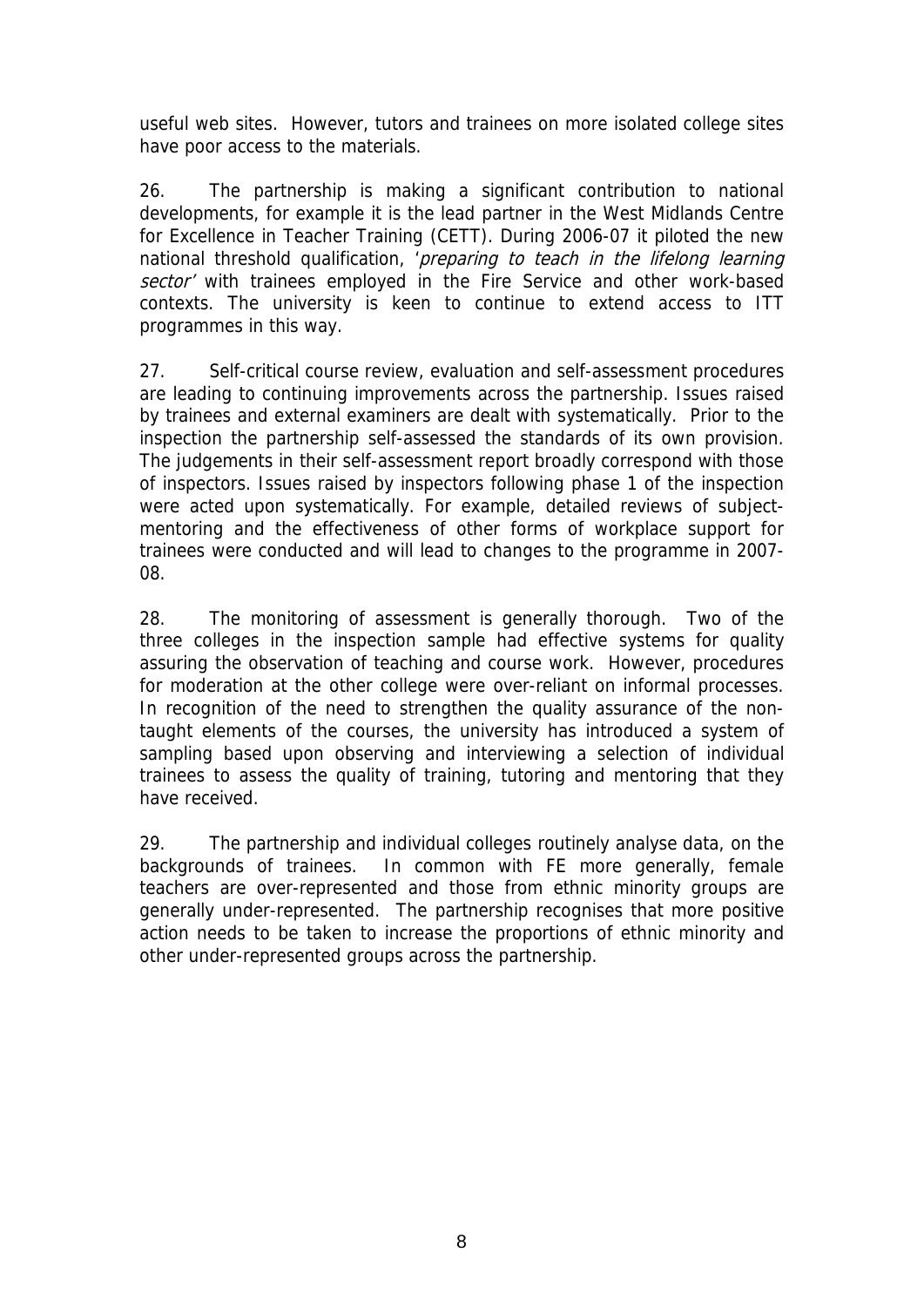useful web sites. However, tutors and trainees on more isolated college sites have poor access to the materials.

26. The partnership is making a significant contribution to national developments, for example it is the lead partner in the West Midlands Centre for Excellence in Teacher Training (CETT). During 2006-07 it piloted the new national threshold qualification, 'preparing to teach in the lifelong learning sector' with trainees employed in the Fire Service and other work-based contexts. The university is keen to continue to extend access to ITT programmes in this way.

27. Self-critical course review, evaluation and self-assessment procedures are leading to continuing improvements across the partnership. Issues raised by trainees and external examiners are dealt with systematically. Prior to the inspection the partnership self-assessed the standards of its own provision. The judgements in their self-assessment report broadly correspond with those of inspectors. Issues raised by inspectors following phase 1 of the inspection were acted upon systematically. For example, detailed reviews of subjectmentoring and the effectiveness of other forms of workplace support for trainees were conducted and will lead to changes to the programme in 2007- 08.

28. The monitoring of assessment is generally thorough. Two of the three colleges in the inspection sample had effective systems for quality assuring the observation of teaching and course work. However, procedures for moderation at the other college were over-reliant on informal processes. In recognition of the need to strengthen the quality assurance of the nontaught elements of the courses, the university has introduced a system of sampling based upon observing and interviewing a selection of individual trainees to assess the quality of training, tutoring and mentoring that they have received.

29. The partnership and individual colleges routinely analyse data, on the backgrounds of trainees. In common with FE more generally, female teachers are over-represented and those from ethnic minority groups are generally under-represented. The partnership recognises that more positive action needs to be taken to increase the proportions of ethnic minority and other under-represented groups across the partnership.